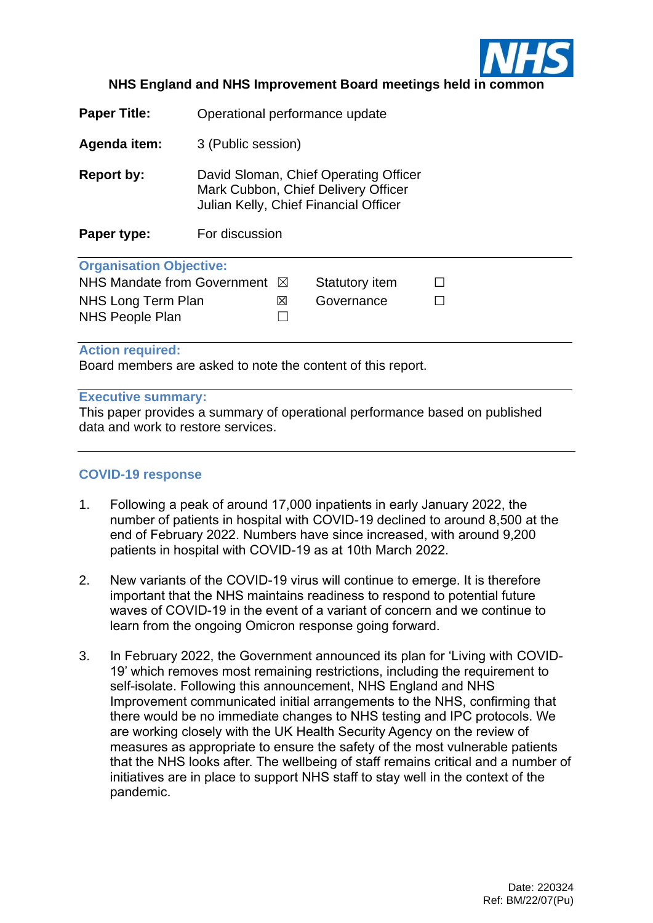

### **NHS England and NHS Improvement Board meetings held in common**

| Agenda item:<br>3 (Public session)<br>David Sloman, Chief Operating Officer<br>Report by: | <b>Paper Title:</b> | Operational performance update      |  |  |  |  |  |  |  |  |
|-------------------------------------------------------------------------------------------|---------------------|-------------------------------------|--|--|--|--|--|--|--|--|
|                                                                                           |                     |                                     |  |  |  |  |  |  |  |  |
| Julian Kelly, Chief Financial Officer<br>For discussion<br>Paper type:                    |                     | Mark Cubbon, Chief Delivery Officer |  |  |  |  |  |  |  |  |
|                                                                                           |                     |                                     |  |  |  |  |  |  |  |  |
| <b>Organisation Objective:</b>                                                            |                     |                                     |  |  |  |  |  |  |  |  |
| NHS Mandate from Government ⊠<br>Statutory item                                           |                     |                                     |  |  |  |  |  |  |  |  |
| Governance<br>NHS Long Term Plan<br>図                                                     |                     |                                     |  |  |  |  |  |  |  |  |
| <b>NHS People Plan</b>                                                                    |                     |                                     |  |  |  |  |  |  |  |  |

#### **Action required:**

Board members are asked to note the content of this report.

#### **Executive summary:**

This paper provides a summary of operational performance based on published data and work to restore services.

### **COVID-19 response**

- 1. Following a peak of around 17,000 inpatients in early January 2022, the number of patients in hospital with COVID-19 declined to around 8,500 at the end of February 2022. Numbers have since increased, with around 9,200 patients in hospital with COVID-19 as at 10th March 2022.
- 2. New variants of the COVID-19 virus will continue to emerge. It is therefore important that the NHS maintains readiness to respond to potential future waves of COVID-19 in the event of a variant of concern and we continue to learn from the ongoing Omicron response going forward.
- 3. In February 2022, the Government announced its plan for 'Living with COVID-19' which removes most remaining restrictions, including the requirement to self-isolate. Following this announcement, NHS England and NHS Improvement communicated initial arrangements to the NHS, confirming that there would be no immediate changes to NHS testing and IPC protocols. We are working closely with the UK Health Security Agency on the review of measures as appropriate to ensure the safety of the most vulnerable patients that the NHS looks after. The wellbeing of staff remains critical and a number of initiatives are in place to support NHS staff to stay well in the context of the pandemic.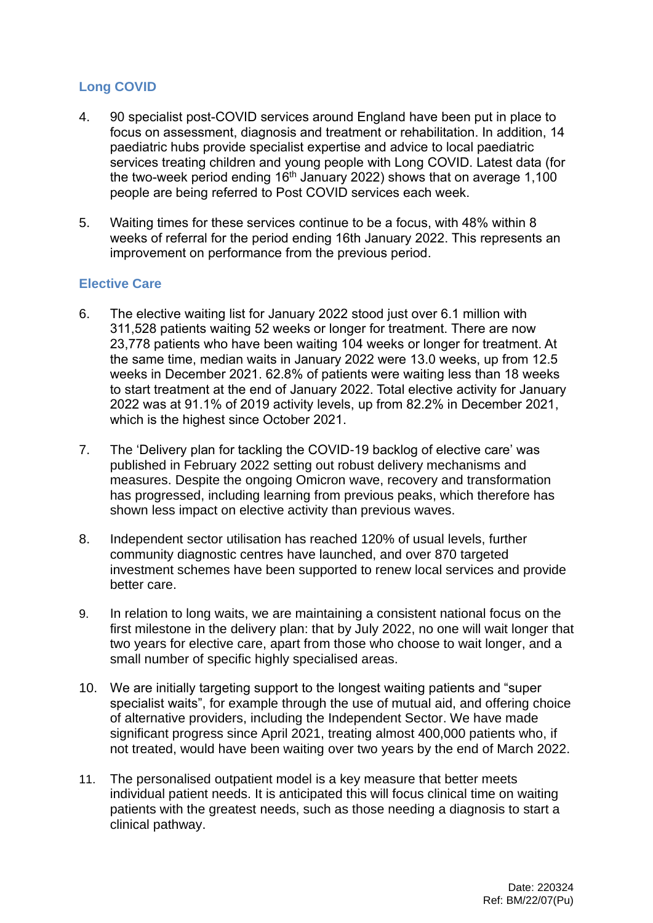# **Long COVID**

- 4. 90 specialist post-COVID services around England have been put in place to focus on assessment, diagnosis and treatment or rehabilitation. In addition, 14 paediatric hubs provide specialist expertise and advice to local paediatric services treating children and young people with Long COVID. Latest data (for the two-week period ending  $16<sup>th</sup>$  January 2022) shows that on average 1,100 people are being referred to Post COVID services each week.
- 5. Waiting times for these services continue to be a focus, with 48% within 8 weeks of referral for the period ending 16th January 2022. This represents an improvement on performance from the previous period.

### **Elective Care**

- 6. The elective waiting list for January 2022 stood just over 6.1 million with 311,528 patients waiting 52 weeks or longer for treatment. There are now 23,778 patients who have been waiting 104 weeks or longer for treatment. At the same time, median waits in January 2022 were 13.0 weeks, up from 12.5 weeks in December 2021. 62.8% of patients were waiting less than 18 weeks to start treatment at the end of January 2022. Total elective activity for January 2022 was at 91.1% of 2019 activity levels, up from 82.2% in December 2021, which is the highest since October 2021.
- 7. The 'Delivery plan for tackling the COVID-19 backlog of elective care' was published in February 2022 setting out robust delivery mechanisms and measures. Despite the ongoing Omicron wave, recovery and transformation has progressed, including learning from previous peaks, which therefore has shown less impact on elective activity than previous waves.
- 8. Independent sector utilisation has reached 120% of usual levels, further community diagnostic centres have launched, and over 870 targeted investment schemes have been supported to renew local services and provide better care.
- 9. In relation to long waits, we are maintaining a consistent national focus on the first milestone in the delivery plan: that by July 2022, no one will wait longer that two years for elective care, apart from those who choose to wait longer, and a small number of specific highly specialised areas.
- 10. We are initially targeting support to the longest waiting patients and "super specialist waits", for example through the use of mutual aid, and offering choice of alternative providers, including the Independent Sector. We have made significant progress since April 2021, treating almost 400,000 patients who, if not treated, would have been waiting over two years by the end of March 2022.
- 11. The personalised outpatient model is a key measure that better meets individual patient needs. It is anticipated this will focus clinical time on waiting patients with the greatest needs, such as those needing a diagnosis to start a clinical pathway.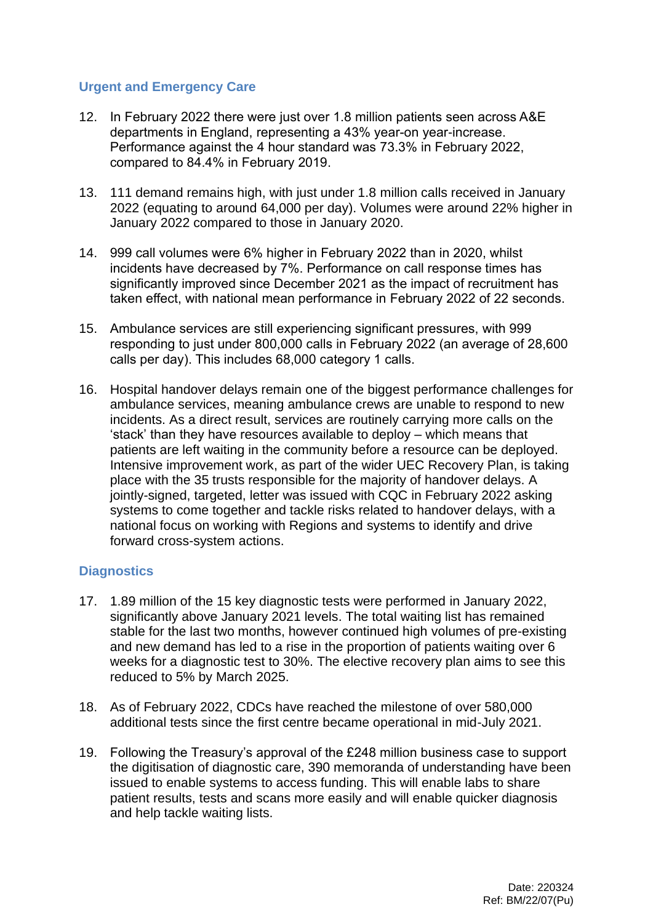### **Urgent and Emergency Care**

- 12. In February 2022 there were just over 1.8 million patients seen across A&E departments in England, representing a 43% year-on year-increase. Performance against the 4 hour standard was 73.3% in February 2022, compared to 84.4% in February 2019.
- 13. 111 demand remains high, with just under 1.8 million calls received in January 2022 (equating to around 64,000 per day). Volumes were around 22% higher in January 2022 compared to those in January 2020.
- 14. 999 call volumes were 6% higher in February 2022 than in 2020, whilst incidents have decreased by 7%. Performance on call response times has significantly improved since December 2021 as the impact of recruitment has taken effect, with national mean performance in February 2022 of 22 seconds.
- 15. Ambulance services are still experiencing significant pressures, with 999 responding to just under 800,000 calls in February 2022 (an average of 28,600 calls per day). This includes 68,000 category 1 calls.
- 16. Hospital handover delays remain one of the biggest performance challenges for ambulance services, meaning ambulance crews are unable to respond to new incidents. As a direct result, services are routinely carrying more calls on the 'stack' than they have resources available to deploy – which means that patients are left waiting in the community before a resource can be deployed. Intensive improvement work, as part of the wider UEC Recovery Plan, is taking place with the 35 trusts responsible for the majority of handover delays. A jointly-signed, targeted, letter was issued with CQC in February 2022 asking systems to come together and tackle risks related to handover delays, with a national focus on working with Regions and systems to identify and drive forward cross-system actions.

## **Diagnostics**

- 17. 1.89 million of the 15 key diagnostic tests were performed in January 2022, significantly above January 2021 levels. The total waiting list has remained stable for the last two months, however continued high volumes of pre-existing and new demand has led to a rise in the proportion of patients waiting over 6 weeks for a diagnostic test to 30%. The elective recovery plan aims to see this reduced to 5% by March 2025.
- 18. As of February 2022, CDCs have reached the milestone of over 580,000 additional tests since the first centre became operational in mid-July 2021.
- 19. Following the Treasury's approval of the £248 million business case to support the digitisation of diagnostic care, 390 memoranda of understanding have been issued to enable systems to access funding. This will enable labs to share patient results, tests and scans more easily and will enable quicker diagnosis and help tackle waiting lists.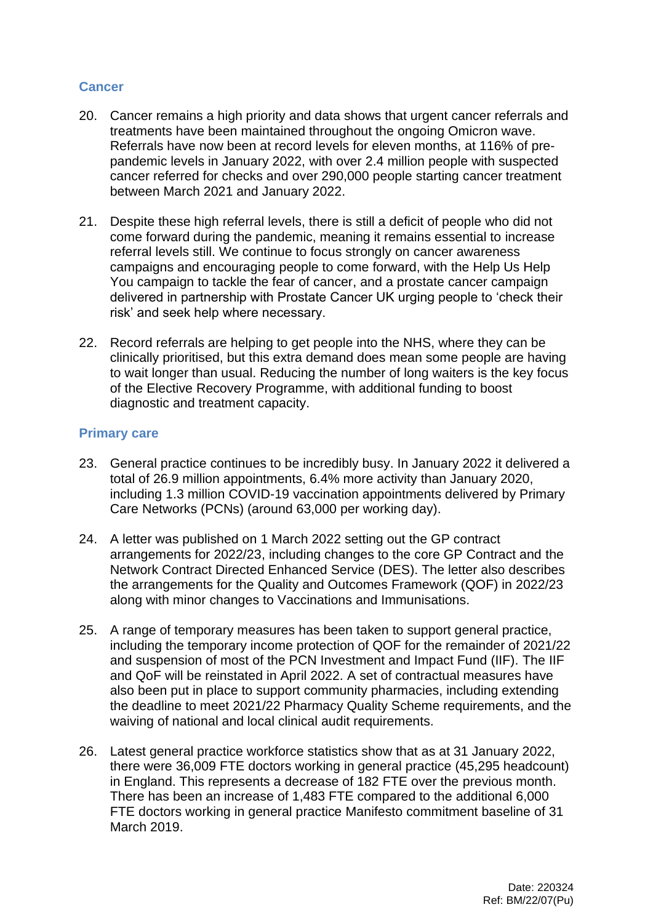### **Cancer**

- 20. Cancer remains a high priority and data shows that urgent cancer referrals and treatments have been maintained throughout the ongoing Omicron wave. Referrals have now been at record levels for eleven months, at 116% of prepandemic levels in January 2022, with over 2.4 million people with suspected cancer referred for checks and over 290,000 people starting cancer treatment between March 2021 and January 2022.
- 21. Despite these high referral levels, there is still a deficit of people who did not come forward during the pandemic, meaning it remains essential to increase referral levels still. We continue to focus strongly on cancer awareness campaigns and encouraging people to come forward, with the Help Us Help You campaign to tackle the fear of cancer, and a prostate cancer campaign delivered in partnership with Prostate Cancer UK urging people to 'check their risk' and seek help where necessary.
- 22. Record referrals are helping to get people into the NHS, where they can be clinically prioritised, but this extra demand does mean some people are having to wait longer than usual. Reducing the number of long waiters is the key focus of the Elective Recovery Programme, with additional funding to boost diagnostic and treatment capacity.

### **Primary care**

- 23. General practice continues to be incredibly busy. In January 2022 it delivered a total of 26.9 million appointments, 6.4% more activity than January 2020, including 1.3 million COVID-19 vaccination appointments delivered by Primary Care Networks (PCNs) (around 63,000 per working day).
- 24. A letter was published on 1 March 2022 setting out the GP contract arrangements for 2022/23, including changes to the core GP Contract and the Network Contract Directed Enhanced Service (DES). The letter also describes the arrangements for the Quality and Outcomes Framework (QOF) in 2022/23 along with minor changes to Vaccinations and Immunisations.
- 25. A range of temporary measures has been taken to support general practice, including the temporary income protection of QOF for the remainder of 2021/22 and suspension of most of the PCN Investment and Impact Fund (IIF). The IIF and QoF will be reinstated in April 2022. A set of contractual measures have also been put in place to support community pharmacies, including extending the deadline to meet 2021/22 Pharmacy Quality Scheme requirements, and the waiving of national and local clinical audit requirements.
- 26. Latest general practice workforce statistics show that as at 31 January 2022, there were 36,009 FTE doctors working in general practice (45,295 headcount) in England. This represents a decrease of 182 FTE over the previous month. There has been an increase of 1,483 FTE compared to the additional 6,000 FTE doctors working in general practice Manifesto commitment baseline of 31 March 2019.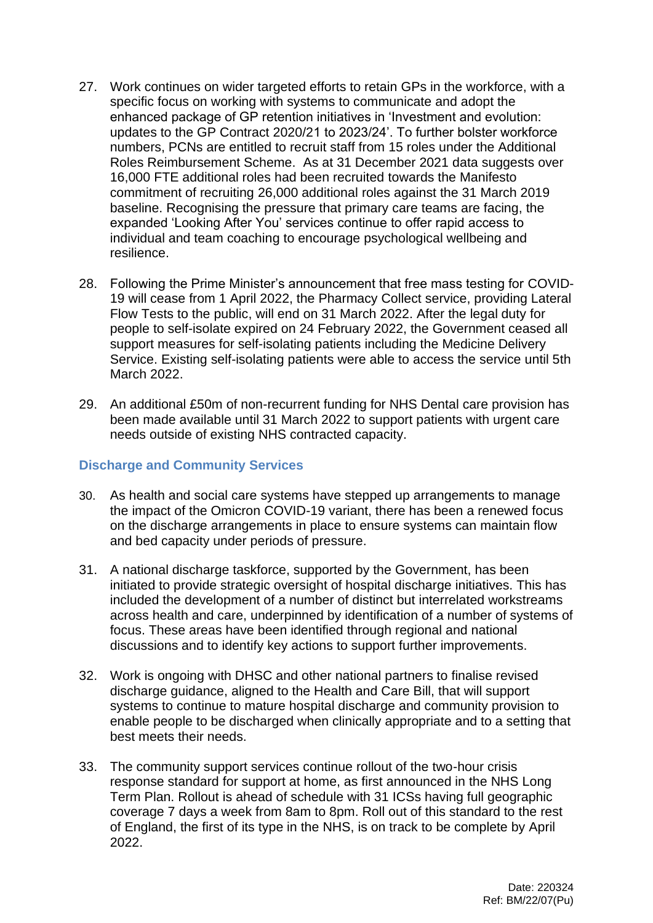- 27. Work continues on wider targeted efforts to retain GPs in the workforce, with a specific focus on working with systems to communicate and adopt the enhanced package of GP retention initiatives in 'Investment and evolution: updates to the GP Contract 2020/21 to 2023/24'. To further bolster workforce numbers, PCNs are entitled to recruit staff from 15 roles under the Additional Roles Reimbursement Scheme. As at 31 December 2021 data suggests over 16,000 FTE additional roles had been recruited towards the Manifesto commitment of recruiting 26,000 additional roles against the 31 March 2019 baseline. Recognising the pressure that primary care teams are facing, the expanded 'Looking After You' services continue to offer rapid access to individual and team coaching to encourage psychological wellbeing and resilience.
- 28. Following the Prime Minister's announcement that free mass testing for COVID-19 will cease from 1 April 2022, the Pharmacy Collect service, providing Lateral Flow Tests to the public, will end on 31 March 2022. After the legal duty for people to self-isolate expired on 24 February 2022, the Government ceased all support measures for self-isolating patients including the Medicine Delivery Service. Existing self-isolating patients were able to access the service until 5th March 2022.
- 29. An additional £50m of non-recurrent funding for NHS Dental care provision has been made available until 31 March 2022 to support patients with urgent care needs outside of existing NHS contracted capacity.

### **Discharge and Community Services**

- 30. As health and social care systems have stepped up arrangements to manage the impact of the Omicron COVID-19 variant, there has been a renewed focus on the discharge arrangements in place to ensure systems can maintain flow and bed capacity under periods of pressure.
- 31. A national discharge taskforce, supported by the Government, has been initiated to provide strategic oversight of hospital discharge initiatives. This has included the development of a number of distinct but interrelated workstreams across health and care, underpinned by identification of a number of systems of focus. These areas have been identified through regional and national discussions and to identify key actions to support further improvements.
- 32. Work is ongoing with DHSC and other national partners to finalise revised discharge guidance, aligned to the Health and Care Bill, that will support systems to continue to mature hospital discharge and community provision to enable people to be discharged when clinically appropriate and to a setting that best meets their needs.
- 33. The community support services continue rollout of the two-hour crisis response standard for support at home, as first announced in the NHS Long Term Plan. Rollout is ahead of schedule with 31 ICSs having full geographic coverage 7 days a week from 8am to 8pm. Roll out of this standard to the rest of England, the first of its type in the NHS, is on track to be complete by April 2022.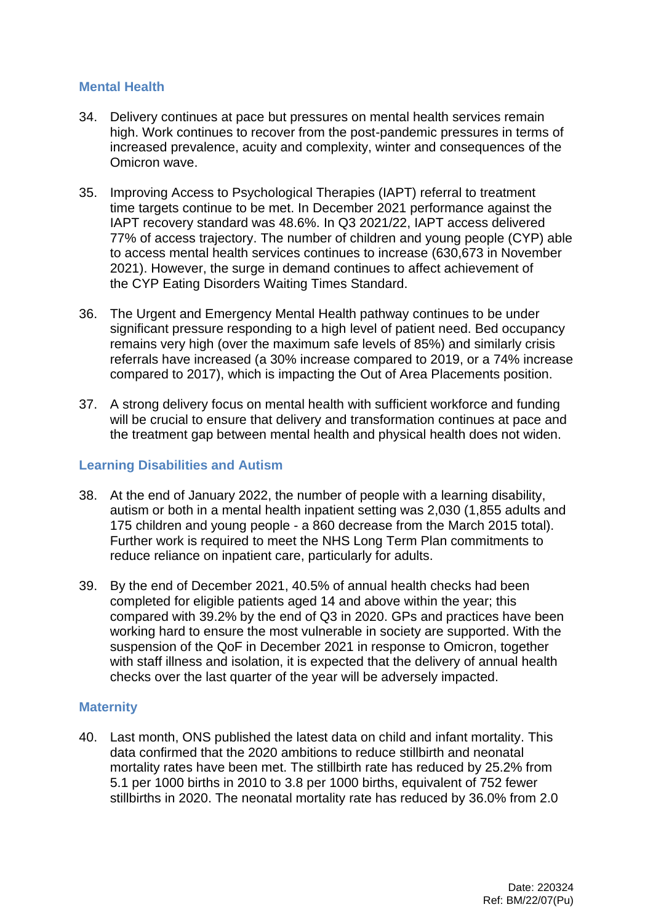### **Mental Health**

- 34. Delivery continues at pace but pressures on mental health services remain high. Work continues to recover from the post-pandemic pressures in terms of increased prevalence, acuity and complexity, winter and consequences of the Omicron wave.
- 35. Improving Access to Psychological Therapies (IAPT) referral to treatment time targets continue to be met. In December 2021 performance against the IAPT recovery standard was 48.6%. In Q3 2021/22, IAPT access delivered 77% of access trajectory. The number of children and young people (CYP) able to access mental health services continues to increase (630,673 in November 2021). However, the surge in demand continues to affect achievement of the CYP Eating Disorders Waiting Times Standard.
- 36. The Urgent and Emergency Mental Health pathway continues to be under significant pressure responding to a high level of patient need. Bed occupancy remains very high (over the maximum safe levels of 85%) and similarly crisis referrals have increased (a 30% increase compared to 2019, or a 74% increase compared to 2017), which is impacting the Out of Area Placements position.
- 37. A strong delivery focus on mental health with sufficient workforce and funding will be crucial to ensure that delivery and transformation continues at pace and the treatment gap between mental health and physical health does not widen.

#### **Learning Disabilities and Autism**

- 38. At the end of January 2022, the number of people with a learning disability, autism or both in a mental health inpatient setting was 2,030 (1,855 adults and 175 children and young people - a 860 decrease from the March 2015 total). Further work is required to meet the NHS Long Term Plan commitments to reduce reliance on inpatient care, particularly for adults.
- 39. By the end of December 2021, 40.5% of annual health checks had been completed for eligible patients aged 14 and above within the year; this compared with 39.2% by the end of Q3 in 2020. GPs and practices have been working hard to ensure the most vulnerable in society are supported. With the suspension of the QoF in December 2021 in response to Omicron, together with staff illness and isolation, it is expected that the delivery of annual health checks over the last quarter of the year will be adversely impacted.

### **Maternity**

40. Last month, ONS published the latest data on child and infant mortality. This data confirmed that the 2020 ambitions to reduce stillbirth and neonatal mortality rates have been met. The stillbirth rate has reduced by 25.2% from 5.1 per 1000 births in 2010 to 3.8 per 1000 births, equivalent of 752 fewer stillbirths in 2020. The neonatal mortality rate has reduced by 36.0% from 2.0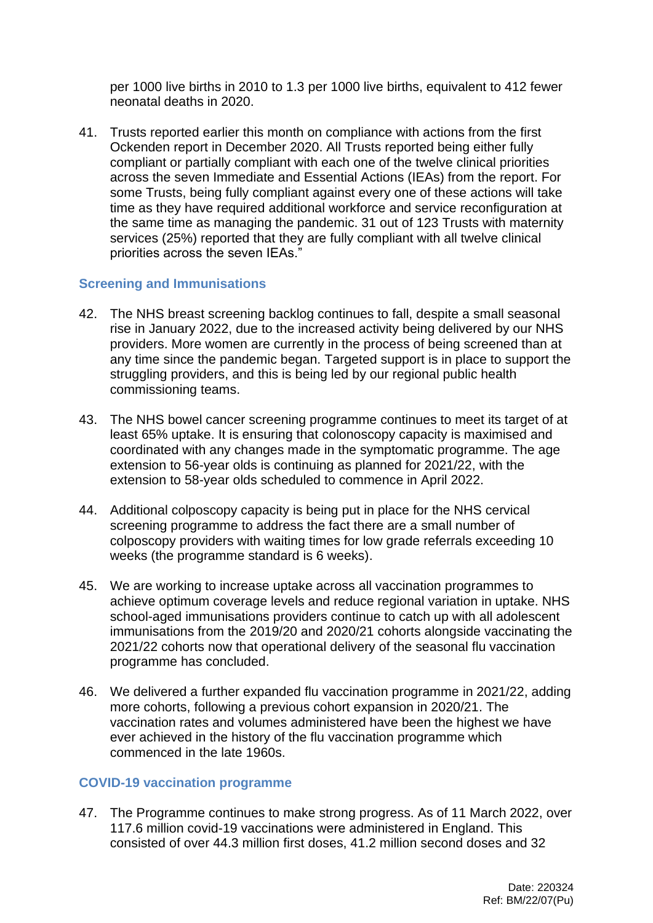per 1000 live births in 2010 to 1.3 per 1000 live births, equivalent to 412 fewer neonatal deaths in 2020.

41. Trusts reported earlier this month on compliance with actions from the first Ockenden report in December 2020. All Trusts reported being either fully compliant or partially compliant with each one of the twelve clinical priorities across the seven Immediate and Essential Actions (IEAs) from the report. For some Trusts, being fully compliant against every one of these actions will take time as they have required additional workforce and service reconfiguration at the same time as managing the pandemic. 31 out of 123 Trusts with maternity services (25%) reported that they are fully compliant with all twelve clinical priorities across the seven IEAs."

## **Screening and Immunisations**

- 42. The NHS breast screening backlog continues to fall, despite a small seasonal rise in January 2022, due to the increased activity being delivered by our NHS providers. More women are currently in the process of being screened than at any time since the pandemic began. Targeted support is in place to support the struggling providers, and this is being led by our regional public health commissioning teams.
- 43. The NHS bowel cancer screening programme continues to meet its target of at least 65% uptake. It is ensuring that colonoscopy capacity is maximised and coordinated with any changes made in the symptomatic programme. The age extension to 56-year olds is continuing as planned for 2021/22, with the extension to 58-year olds scheduled to commence in April 2022.
- 44. Additional colposcopy capacity is being put in place for the NHS cervical screening programme to address the fact there are a small number of colposcopy providers with waiting times for low grade referrals exceeding 10 weeks (the programme standard is 6 weeks).
- 45. We are working to increase uptake across all vaccination programmes to achieve optimum coverage levels and reduce regional variation in uptake. NHS school-aged immunisations providers continue to catch up with all adolescent immunisations from the 2019/20 and 2020/21 cohorts alongside vaccinating the 2021/22 cohorts now that operational delivery of the seasonal flu vaccination programme has concluded.
- 46. We delivered a further expanded flu vaccination programme in 2021/22, adding more cohorts, following a previous cohort expansion in 2020/21. The vaccination rates and volumes administered have been the highest we have ever achieved in the history of the flu vaccination programme which commenced in the late 1960s.

## **COVID-19 vaccination programme**

47. The Programme continues to make strong progress. As of 11 March 2022, over 117.6 million covid-19 vaccinations were administered in England. This consisted of over 44.3 million first doses, 41.2 million second doses and 32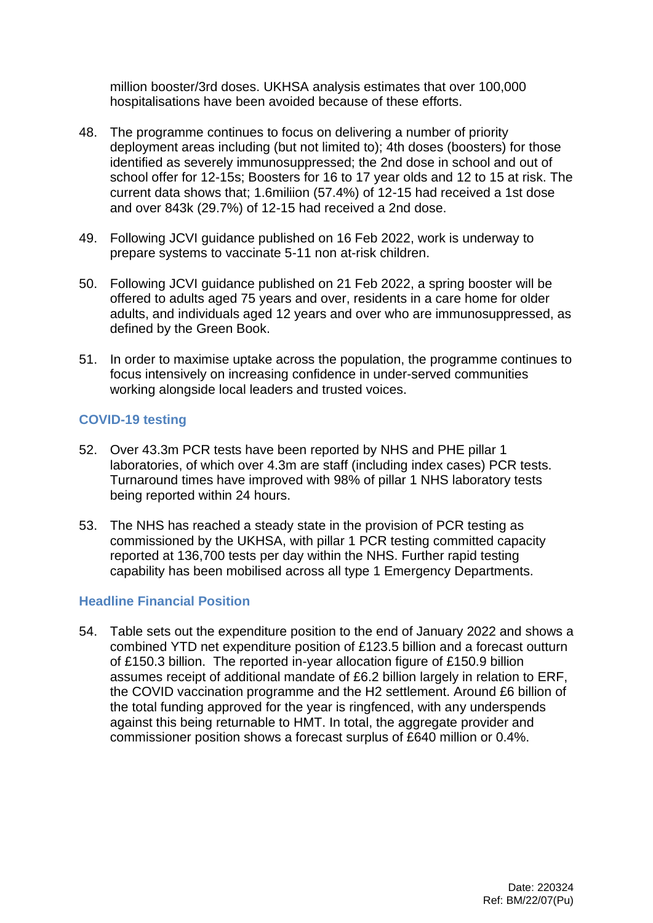million booster/3rd doses. UKHSA analysis estimates that over 100,000 hospitalisations have been avoided because of these efforts.

- 48. The programme continues to focus on delivering a number of priority deployment areas including (but not limited to); 4th doses (boosters) for those identified as severely immunosuppressed; the 2nd dose in school and out of school offer for 12-15s; Boosters for 16 to 17 year olds and 12 to 15 at risk. The current data shows that; 1.6miliion (57.4%) of 12-15 had received a 1st dose and over 843k (29.7%) of 12-15 had received a 2nd dose.
- 49. Following JCVI guidance published on 16 Feb 2022, work is underway to prepare systems to vaccinate 5-11 non at-risk children.
- 50. Following JCVI guidance published on 21 Feb 2022, a spring booster will be offered to adults aged 75 years and over, residents in a care home for older adults, and individuals aged 12 years and over who are immunosuppressed, as defined by the Green Book.
- 51. In order to maximise uptake across the population, the programme continues to focus intensively on increasing confidence in under-served communities working alongside local leaders and trusted voices.

## **COVID-19 testing**

- 52. Over 43.3m PCR tests have been reported by NHS and PHE pillar 1 laboratories, of which over 4.3m are staff (including index cases) PCR tests. Turnaround times have improved with 98% of pillar 1 NHS laboratory tests being reported within 24 hours.
- 53. The NHS has reached a steady state in the provision of PCR testing as commissioned by the UKHSA, with pillar 1 PCR testing committed capacity reported at 136,700 tests per day within the NHS. Further rapid testing capability has been mobilised across all type 1 Emergency Departments.

### **Headline Financial Position**

54. Table sets out the expenditure position to the end of January 2022 and shows a combined YTD net expenditure position of £123.5 billion and a forecast outturn of £150.3 billion. The reported in-year allocation figure of £150.9 billion assumes receipt of additional mandate of £6.2 billion largely in relation to ERF, the COVID vaccination programme and the H2 settlement. Around £6 billion of the total funding approved for the year is ringfenced, with any underspends against this being returnable to HMT. In total, the aggregate provider and commissioner position shows a forecast surplus of £640 million or 0.4%.